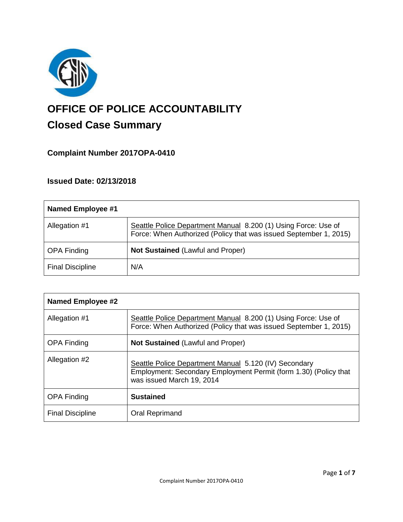

# **OFFICE OF POLICE ACCOUNTABILITY**

# **Closed Case Summary**

# **Complaint Number 2017OPA-0410**

# **Issued Date: 02/13/2018**

| Named Employee #1       |                                                                                                                                     |
|-------------------------|-------------------------------------------------------------------------------------------------------------------------------------|
| Allegation #1           | Seattle Police Department Manual 8.200 (1) Using Force: Use of<br>Force: When Authorized (Policy that was issued September 1, 2015) |
| <b>OPA Finding</b>      | <b>Not Sustained (Lawful and Proper)</b>                                                                                            |
| <b>Final Discipline</b> | N/A                                                                                                                                 |

| <b>Named Employee #2</b> |                                                                                                                                                        |
|--------------------------|--------------------------------------------------------------------------------------------------------------------------------------------------------|
| Allegation #1            | Seattle Police Department Manual 8.200 (1) Using Force: Use of<br>Force: When Authorized (Policy that was issued September 1, 2015)                    |
| <b>OPA Finding</b>       | Not Sustained (Lawful and Proper)                                                                                                                      |
| Allegation #2            | Seattle Police Department Manual 5.120 (IV) Secondary<br>Employment: Secondary Employment Permit (form 1.30) (Policy that<br>was issued March 19, 2014 |
| <b>OPA Finding</b>       | <b>Sustained</b>                                                                                                                                       |
| <b>Final Discipline</b>  | Oral Reprimand                                                                                                                                         |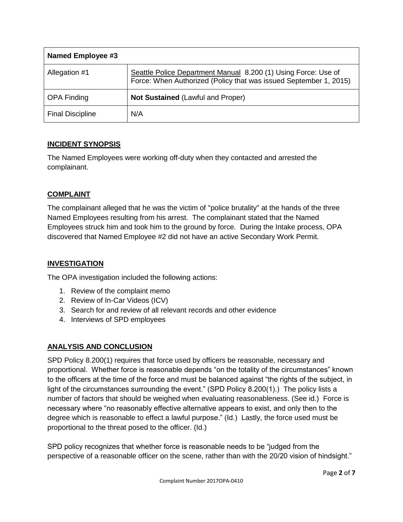| Named Employee #3       |                                                                                                                                     |
|-------------------------|-------------------------------------------------------------------------------------------------------------------------------------|
| Allegation #1           | Seattle Police Department Manual 8.200 (1) Using Force: Use of<br>Force: When Authorized (Policy that was issued September 1, 2015) |
| <b>OPA Finding</b>      | <b>Not Sustained (Lawful and Proper)</b>                                                                                            |
| <b>Final Discipline</b> | N/A                                                                                                                                 |

# **INCIDENT SYNOPSIS**

The Named Employees were working off-duty when they contacted and arrested the complainant.

# **COMPLAINT**

The complainant alleged that he was the victim of "police brutality" at the hands of the three Named Employees resulting from his arrest. The complainant stated that the Named Employees struck him and took him to the ground by force. During the Intake process, OPA discovered that Named Employee #2 did not have an active Secondary Work Permit.

# **INVESTIGATION**

The OPA investigation included the following actions:

- 1. Review of the complaint memo
- 2. Review of In-Car Videos (ICV)
- 3. Search for and review of all relevant records and other evidence
- 4. Interviews of SPD employees

# **ANALYSIS AND CONCLUSION**

SPD Policy 8.200(1) requires that force used by officers be reasonable, necessary and proportional. Whether force is reasonable depends "on the totality of the circumstances" known to the officers at the time of the force and must be balanced against "the rights of the subject, in light of the circumstances surrounding the event." (SPD Policy 8.200(1).) The policy lists a number of factors that should be weighed when evaluating reasonableness. (See id.) Force is necessary where "no reasonably effective alternative appears to exist, and only then to the degree which is reasonable to effect a lawful purpose." (Id.) Lastly, the force used must be proportional to the threat posed to the officer. (Id.)

SPD policy recognizes that whether force is reasonable needs to be "judged from the perspective of a reasonable officer on the scene, rather than with the 20/20 vision of hindsight."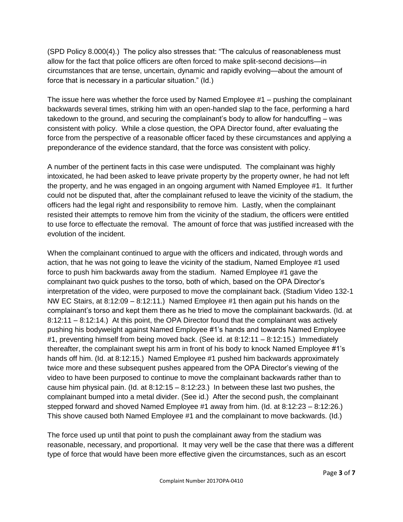(SPD Policy 8.000(4).) The policy also stresses that: "The calculus of reasonableness must allow for the fact that police officers are often forced to make split-second decisions—in circumstances that are tense, uncertain, dynamic and rapidly evolving—about the amount of force that is necessary in a particular situation." (Id.)

The issue here was whether the force used by Named Employee #1 – pushing the complainant backwards several times, striking him with an open-handed slap to the face, performing a hard takedown to the ground, and securing the complainant's body to allow for handcuffing – was consistent with policy. While a close question, the OPA Director found, after evaluating the force from the perspective of a reasonable officer faced by these circumstances and applying a preponderance of the evidence standard, that the force was consistent with policy.

A number of the pertinent facts in this case were undisputed. The complainant was highly intoxicated, he had been asked to leave private property by the property owner, he had not left the property, and he was engaged in an ongoing argument with Named Employee #1. It further could not be disputed that, after the complainant refused to leave the vicinity of the stadium, the officers had the legal right and responsibility to remove him. Lastly, when the complainant resisted their attempts to remove him from the vicinity of the stadium, the officers were entitled to use force to effectuate the removal. The amount of force that was justified increased with the evolution of the incident.

When the complainant continued to argue with the officers and indicated, through words and action, that he was not going to leave the vicinity of the stadium, Named Employee #1 used force to push him backwards away from the stadium. Named Employee #1 gave the complainant two quick pushes to the torso, both of which, based on the OPA Director's interpretation of the video, were purposed to move the complainant back. (Stadium Video 132-1 NW EC Stairs, at 8:12:09 – 8:12:11.) Named Employee #1 then again put his hands on the complainant's torso and kept them there as he tried to move the complainant backwards. (Id. at 8:12:11 – 8:12:14.) At this point, the OPA Director found that the complainant was actively pushing his bodyweight against Named Employee #1's hands and towards Named Employee #1, preventing himself from being moved back. (See id. at 8:12:11 – 8:12:15.) Immediately thereafter, the complainant swept his arm in front of his body to knock Named Employee #1's hands off him. (Id. at 8:12:15.) Named Employee #1 pushed him backwards approximately twice more and these subsequent pushes appeared from the OPA Director's viewing of the video to have been purposed to continue to move the complainant backwards rather than to cause him physical pain. (Id. at  $8:12:15 - 8:12:23$ .) In between these last two pushes, the complainant bumped into a metal divider. (See id.) After the second push, the complainant stepped forward and shoved Named Employee #1 away from him. (Id. at 8:12:23 – 8:12:26.) This shove caused both Named Employee #1 and the complainant to move backwards. (Id.)

The force used up until that point to push the complainant away from the stadium was reasonable, necessary, and proportional. It may very well be the case that there was a different type of force that would have been more effective given the circumstances, such as an escort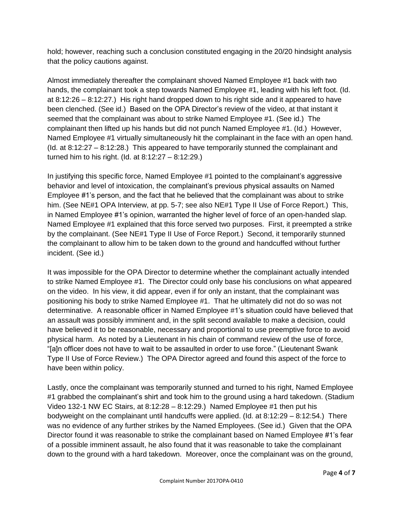hold; however, reaching such a conclusion constituted engaging in the 20/20 hindsight analysis that the policy cautions against.

Almost immediately thereafter the complainant shoved Named Employee #1 back with two hands, the complainant took a step towards Named Employee #1, leading with his left foot. (Id. at 8:12:26 – 8:12:27.) His right hand dropped down to his right side and it appeared to have been clenched. (See id.) Based on the OPA Director's review of the video, at that instant it seemed that the complainant was about to strike Named Employee #1. (See id.) The complainant then lifted up his hands but did not punch Named Employee #1. (Id.) However, Named Employee #1 virtually simultaneously hit the complainant in the face with an open hand. (Id. at 8:12:27 – 8:12:28.) This appeared to have temporarily stunned the complainant and turned him to his right. (Id. at 8:12:27 – 8:12:29.)

In justifying this specific force, Named Employee #1 pointed to the complainant's aggressive behavior and level of intoxication, the complainant's previous physical assaults on Named Employee #1's person, and the fact that he believed that the complainant was about to strike him. (See NE#1 OPA Interview, at pp. 5-7; see also NE#1 Type II Use of Force Report.) This, in Named Employee #1's opinion, warranted the higher level of force of an open-handed slap. Named Employee #1 explained that this force served two purposes. First, it preempted a strike by the complainant. (See NE#1 Type II Use of Force Report.) Second, it temporarily stunned the complainant to allow him to be taken down to the ground and handcuffed without further incident. (See id.)

It was impossible for the OPA Director to determine whether the complainant actually intended to strike Named Employee #1. The Director could only base his conclusions on what appeared on the video. In his view, it did appear, even if for only an instant, that the complainant was positioning his body to strike Named Employee #1. That he ultimately did not do so was not determinative. A reasonable officer in Named Employee #1's situation could have believed that an assault was possibly imminent and, in the split second available to make a decision, could have believed it to be reasonable, necessary and proportional to use preemptive force to avoid physical harm. As noted by a Lieutenant in his chain of command review of the use of force, "[a]n officer does not have to wait to be assaulted in order to use force." (Lieutenant Swank Type II Use of Force Review.) The OPA Director agreed and found this aspect of the force to have been within policy.

Lastly, once the complainant was temporarily stunned and turned to his right, Named Employee #1 grabbed the complainant's shirt and took him to the ground using a hard takedown. (Stadium Video 132-1 NW EC Stairs, at 8:12:28 – 8:12:29.) Named Employee #1 then put his bodyweight on the complainant until handcuffs were applied. (Id. at 8:12:29 – 8:12:54.) There was no evidence of any further strikes by the Named Employees. (See id.) Given that the OPA Director found it was reasonable to strike the complainant based on Named Employee #1's fear of a possible imminent assault, he also found that it was reasonable to take the complainant down to the ground with a hard takedown. Moreover, once the complainant was on the ground,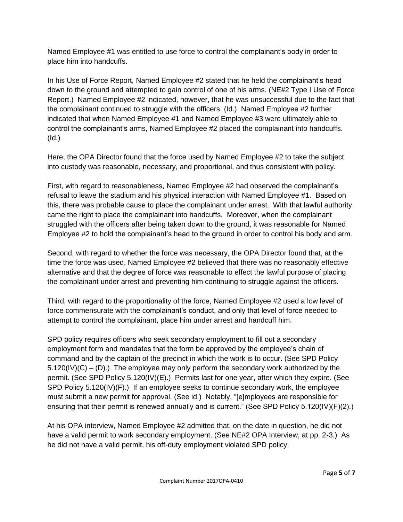Named Employee #1 was entitled to use force to control the complainant's body in order to place him into handcuffs.

In his Use of Force Report, Named Employee #2 stated that he held the complainant's head down to the ground and attempted to gain control of one of his arms. (NE#2 Type I Use of Force Report.) Named Employee #2 indicated, however, that he was unsuccessful due to the fact that the complainant continued to struggle with the officers. (Id.) Named Employee #2 further indicated that when Named Employee #1 and Named Employee #3 were ultimately able to control the complainant's arms, Named Employee #2 placed the complainant into handcuffs. (Id.)

Here, the OPA Director found that the force used by Named Employee #2 to take the subject into custody was reasonable, necessary, and proportional, and thus consistent with policy.

First, with regard to reasonableness, Named Employee #2 had observed the complainant's refusal to leave the stadium and his physical interaction with Named Employee #1. Based on this, there was probable cause to place the complainant under arrest. With that lawful authority came the right to place the complainant into handcuffs. Moreover, when the complainant struggled with the officers after being taken down to the ground, it was reasonable for Named Employee #2 to hold the complainant's head to the ground in order to control his body and arm.

Second, with regard to whether the force was necessary, the OPA Director found that, at the time the force was used, Named Employee #2 believed that there was no reasonably effective alternative and that the degree of force was reasonable to effect the lawful purpose of placing the complainant under arrest and preventing him continuing to struggle against the officers.

Third, with regard to the proportionality of the force, Named Employee #2 used a low level of force commensurate with the complainant's conduct, and only that level of force needed to attempt to control the complainant, place him under arrest and handcuff him.

SPD policy requires officers who seek secondary employment to fill out a secondary employment form and mandates that the form be approved by the employee's chain of command and by the captain of the precinct in which the work is to occur. (See SPD Policy  $5.120(IV)(C) - (D)$ .) The employee may only perform the secondary work authorized by the permit. (See SPD Policy 5.120(IV)(E).) Permits last for one year, after which they expire. (See SPD Policy 5.120(IV)(F).) If an employee seeks to continue secondary work, the employee must submit a new permit for approval. (See id.) Notably, "[e]mployees are responsible for ensuring that their permit is renewed annually and is current." (See SPD Policy 5.120(IV)(F)(2).)

At his OPA interview, Named Employee #2 admitted that, on the date in question, he did not have a valid permit to work secondary employment. (See NE#2 OPA Interview, at pp. 2-3.) As he did not have a valid permit, his off-duty employment violated SPD policy.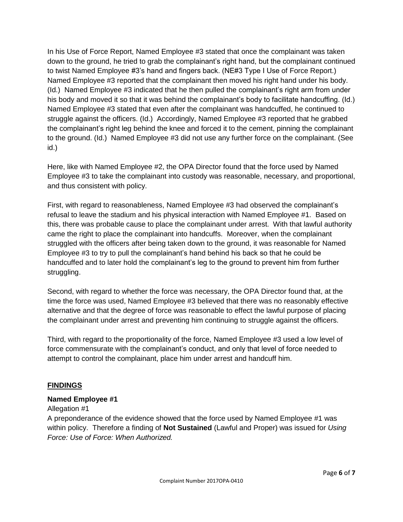In his Use of Force Report, Named Employee #3 stated that once the complainant was taken down to the ground, he tried to grab the complainant's right hand, but the complainant continued to twist Named Employee #3's hand and fingers back. (NE#3 Type I Use of Force Report.) Named Employee #3 reported that the complainant then moved his right hand under his body. (Id.) Named Employee #3 indicated that he then pulled the complainant's right arm from under his body and moved it so that it was behind the complainant's body to facilitate handcuffing. (Id.) Named Employee #3 stated that even after the complainant was handcuffed, he continued to struggle against the officers. (Id.) Accordingly, Named Employee #3 reported that he grabbed the complainant's right leg behind the knee and forced it to the cement, pinning the complainant to the ground. (Id.) Named Employee #3 did not use any further force on the complainant. (See id.)

Here, like with Named Employee #2, the OPA Director found that the force used by Named Employee #3 to take the complainant into custody was reasonable, necessary, and proportional, and thus consistent with policy.

First, with regard to reasonableness, Named Employee #3 had observed the complainant's refusal to leave the stadium and his physical interaction with Named Employee #1. Based on this, there was probable cause to place the complainant under arrest. With that lawful authority came the right to place the complainant into handcuffs. Moreover, when the complainant struggled with the officers after being taken down to the ground, it was reasonable for Named Employee #3 to try to pull the complainant's hand behind his back so that he could be handcuffed and to later hold the complainant's leg to the ground to prevent him from further struggling.

Second, with regard to whether the force was necessary, the OPA Director found that, at the time the force was used, Named Employee #3 believed that there was no reasonably effective alternative and that the degree of force was reasonable to effect the lawful purpose of placing the complainant under arrest and preventing him continuing to struggle against the officers.

Third, with regard to the proportionality of the force, Named Employee #3 used a low level of force commensurate with the complainant's conduct, and only that level of force needed to attempt to control the complainant, place him under arrest and handcuff him.

# **FINDINGS**

# **Named Employee #1**

#### Allegation #1

A preponderance of the evidence showed that the force used by Named Employee #1 was within policy. Therefore a finding of **Not Sustained** (Lawful and Proper) was issued for *Using Force: Use of Force: When Authorized.*